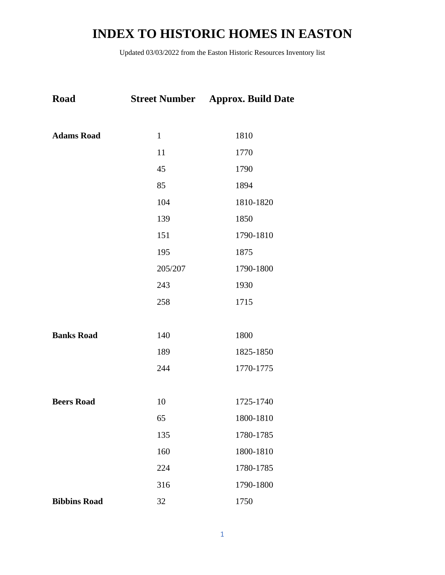| Road                |              | <b>Street Number</b> Approx. Build Date |
|---------------------|--------------|-----------------------------------------|
|                     |              |                                         |
| <b>Adams Road</b>   | $\mathbf{1}$ | 1810                                    |
|                     | 11           | 1770                                    |
|                     | 45           | 1790                                    |
|                     | 85           | 1894                                    |
|                     | 104          | 1810-1820                               |
|                     | 139          | 1850                                    |
|                     | 151          | 1790-1810                               |
|                     | 195          | 1875                                    |
|                     | 205/207      | 1790-1800                               |
|                     | 243          | 1930                                    |
|                     | 258          | 1715                                    |
|                     |              |                                         |
| <b>Banks Road</b>   | 140          | 1800                                    |
|                     | 189          | 1825-1850                               |
|                     | 244          | 1770-1775                               |
|                     |              |                                         |
| <b>Beers Road</b>   | 10           | 1725-1740                               |
|                     | 65           | 1800-1810                               |
|                     | 135          | 1780-1785                               |
|                     | 160          | 1800-1810                               |
|                     | 224          | 1780-1785                               |
|                     | 316          | 1790-1800                               |
| <b>Bibbins Road</b> | 32           | 1750                                    |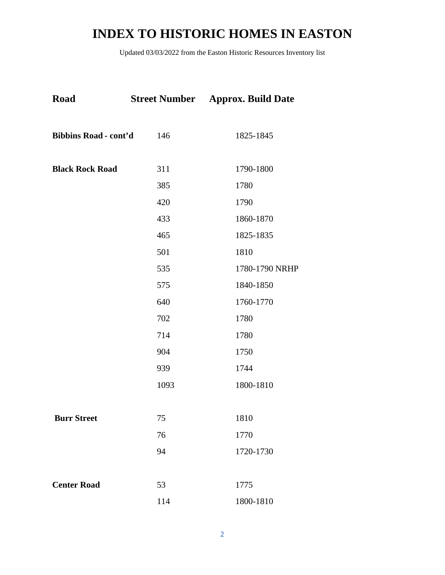| Road                         | <b>Street Number</b> | <b>Approx. Build Date</b> |
|------------------------------|----------------------|---------------------------|
| <b>Bibbins Road - cont'd</b> | 146                  | 1825-1845                 |
| <b>Black Rock Road</b>       | 311                  | 1790-1800                 |
|                              | 385                  | 1780                      |
|                              | 420                  | 1790                      |
|                              | 433                  | 1860-1870                 |
|                              | 465                  | 1825-1835                 |
|                              | 501                  | 1810                      |
|                              | 535                  | 1780-1790 NRHP            |
|                              | 575                  | 1840-1850                 |
|                              | 640                  | 1760-1770                 |
|                              | 702                  | 1780                      |
|                              | 714                  | 1780                      |
|                              | 904                  | 1750                      |
|                              | 939                  | 1744                      |
|                              | 1093                 | 1800-1810                 |
| <b>Burr Street</b>           | 75                   | 1810                      |
|                              | 76                   | 1770                      |
|                              | 94                   | 1720-1730                 |
| <b>Center Road</b>           | 53                   | 1775                      |
|                              | 114                  | 1800-1810                 |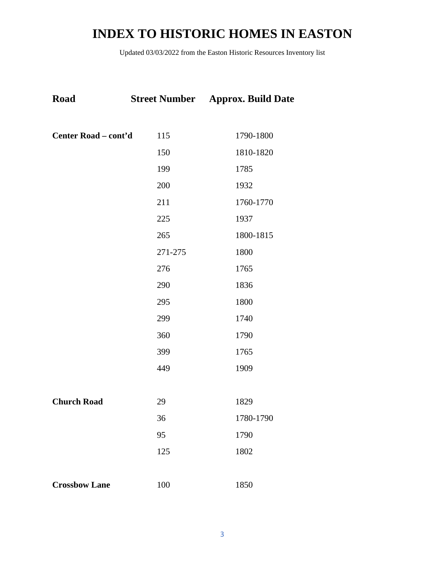| Road                 |         | <b>Street Number</b> Approx. Build Date |
|----------------------|---------|-----------------------------------------|
|                      |         |                                         |
| Center Road - cont'd | 115     | 1790-1800                               |
|                      | 150     | 1810-1820                               |
|                      | 199     | 1785                                    |
|                      | 200     | 1932                                    |
|                      | 211     | 1760-1770                               |
|                      | 225     | 1937                                    |
|                      | 265     | 1800-1815                               |
|                      | 271-275 | 1800                                    |
|                      | 276     | 1765                                    |
|                      | 290     | 1836                                    |
|                      | 295     | 1800                                    |
|                      | 299     | 1740                                    |
|                      | 360     | 1790                                    |
|                      | 399     | 1765                                    |
|                      | 449     | 1909                                    |
|                      |         |                                         |
| <b>Church Road</b>   | 29      | 1829                                    |
|                      | 36      | 1780-1790                               |
|                      | 95      | 1790                                    |
|                      | 125     | 1802                                    |
|                      |         |                                         |
| <b>Crossbow Lane</b> | 100     | 1850                                    |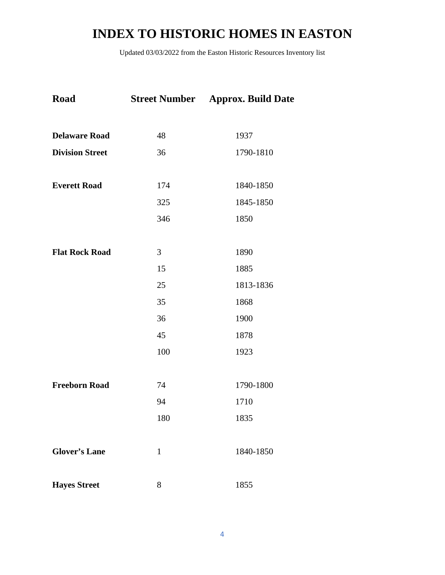| Road                   |              | <b>Street Number</b> Approx. Build Date |
|------------------------|--------------|-----------------------------------------|
| <b>Delaware Road</b>   | 48           | 1937                                    |
| <b>Division Street</b> | 36           | 1790-1810                               |
| <b>Everett Road</b>    | 174          | 1840-1850                               |
|                        | 325          | 1845-1850                               |
|                        | 346          | 1850                                    |
| <b>Flat Rock Road</b>  | 3            | 1890                                    |
|                        | 15           | 1885                                    |
|                        | 25           | 1813-1836                               |
|                        | 35           | 1868                                    |
|                        | 36           | 1900                                    |
|                        | 45           | 1878                                    |
|                        | 100          | 1923                                    |
|                        |              |                                         |
| <b>Freeborn Road</b>   | 74           | 1790-1800                               |
|                        | 94           | 1710                                    |
|                        | 180          | 1835                                    |
| <b>Glover's Lane</b>   | $\mathbf{1}$ | 1840-1850                               |
| <b>Hayes Street</b>    | 8            | 1855                                    |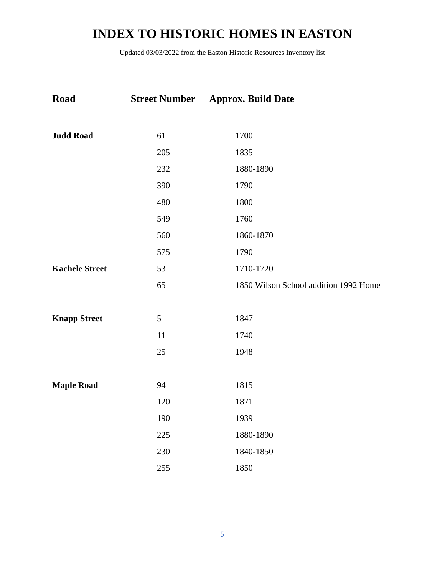| Road                  |                | <b>Street Number</b> Approx. Build Date |
|-----------------------|----------------|-----------------------------------------|
| <b>Judd Road</b>      | 61             | 1700                                    |
|                       | 205            | 1835                                    |
|                       | 232            | 1880-1890                               |
|                       | 390            | 1790                                    |
|                       | 480            | 1800                                    |
|                       | 549            | 1760                                    |
|                       | 560            | 1860-1870                               |
|                       | 575            | 1790                                    |
| <b>Kachele Street</b> | 53             | 1710-1720                               |
|                       | 65             | 1850 Wilson School addition 1992 Home   |
|                       |                |                                         |
| <b>Knapp Street</b>   | $\mathfrak{S}$ | 1847                                    |
|                       | 11             | 1740                                    |
|                       | 25             | 1948                                    |
|                       |                |                                         |
| <b>Maple Road</b>     | 94             | 1815                                    |
|                       | 120            | 1871                                    |
|                       | 190            | 1939                                    |
|                       | 225            | 1880-1890                               |
|                       | 230            | 1840-1850                               |
|                       | 255            | 1850                                    |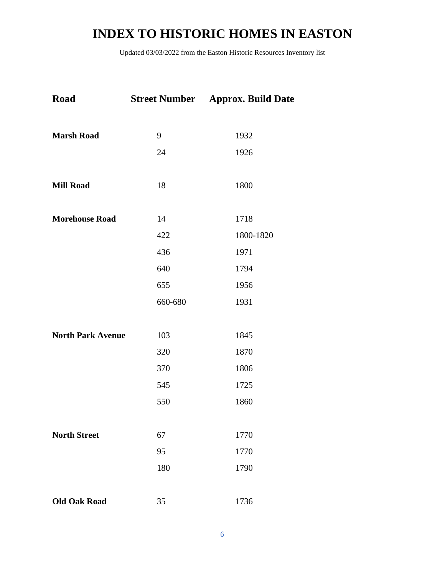| Road                     |         | <b>Street Number</b> Approx. Build Date |
|--------------------------|---------|-----------------------------------------|
| <b>Marsh Road</b>        | 9       | 1932                                    |
|                          | 24      | 1926                                    |
| <b>Mill Road</b>         | 18      | 1800                                    |
| <b>Morehouse Road</b>    | 14      | 1718                                    |
|                          | 422     | 1800-1820                               |
|                          | 436     | 1971                                    |
|                          | 640     | 1794                                    |
|                          | 655     | 1956                                    |
|                          | 660-680 | 1931                                    |
| <b>North Park Avenue</b> | 103     | 1845                                    |
|                          | 320     | 1870                                    |
|                          | 370     | 1806                                    |
|                          | 545     | 1725                                    |
|                          | 550     | 1860                                    |
| <b>North Street</b>      | 67      | 1770                                    |
|                          | 95      | 1770                                    |
|                          | 180     | 1790                                    |
| <b>Old Oak Road</b>      | 35      | 1736                                    |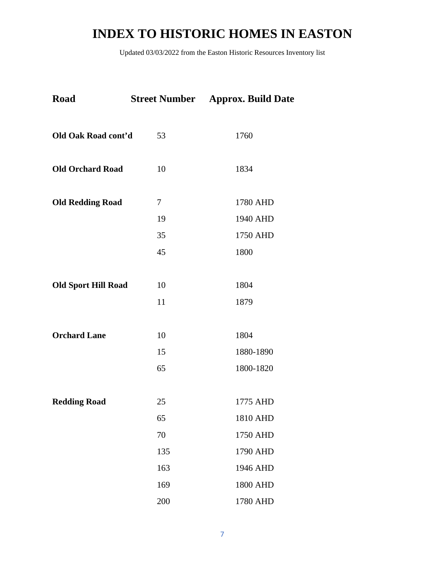| Road                       |     | <b>Street Number</b> Approx. Build Date |
|----------------------------|-----|-----------------------------------------|
| Old Oak Road cont'd        | 53  | 1760                                    |
| <b>Old Orchard Road</b>    | 10  | 1834                                    |
| <b>Old Redding Road</b>    | 7   | 1780 AHD                                |
|                            | 19  | 1940 AHD                                |
|                            | 35  | 1750 AHD                                |
|                            | 45  | 1800                                    |
| <b>Old Sport Hill Road</b> | 10  | 1804                                    |
|                            | 11  | 1879                                    |
| <b>Orchard Lane</b>        | 10  | 1804                                    |
|                            | 15  | 1880-1890                               |
|                            | 65  | 1800-1820                               |
| <b>Redding Road</b>        | 25  | 1775 AHD                                |
|                            | 65  | 1810 AHD                                |
|                            | 70  | 1750 AHD                                |
|                            | 135 | 1790 AHD                                |
|                            | 163 | 1946 AHD                                |
|                            | 169 | 1800 AHD                                |
|                            | 200 | 1780 AHD                                |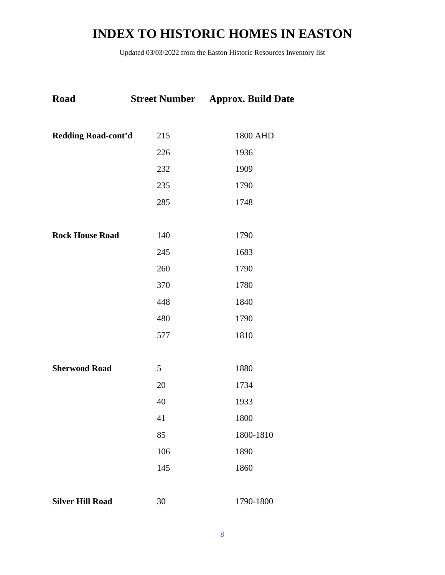| <b>Road</b>             | <b>Street Number</b> | <b>Approx. Build Date</b> |
|-------------------------|----------------------|---------------------------|
|                         |                      |                           |
| Redding Road-cont'd     | 215                  | 1800 AHD                  |
|                         | 226                  | 1936                      |
|                         | 232                  | 1909                      |
|                         | 235                  | 1790                      |
|                         | 285                  | 1748                      |
|                         |                      |                           |
| <b>Rock House Road</b>  | 140                  | 1790                      |
|                         | 245                  | 1683                      |
|                         | 260                  | 1790                      |
|                         | 370                  | 1780                      |
|                         | 448                  | 1840                      |
|                         | 480                  | 1790                      |
|                         | 577                  | 1810                      |
|                         |                      |                           |
| <b>Sherwood Road</b>    | 5                    | 1880                      |
|                         | 20                   | 1734                      |
|                         | 40                   | 1933                      |
|                         | 41                   | 1800                      |
|                         | 85                   | 1800-1810                 |
|                         | 106                  | 1890                      |
|                         | 145                  | 1860                      |
|                         |                      |                           |
| <b>Silver Hill Road</b> | 30                   | 1790-1800                 |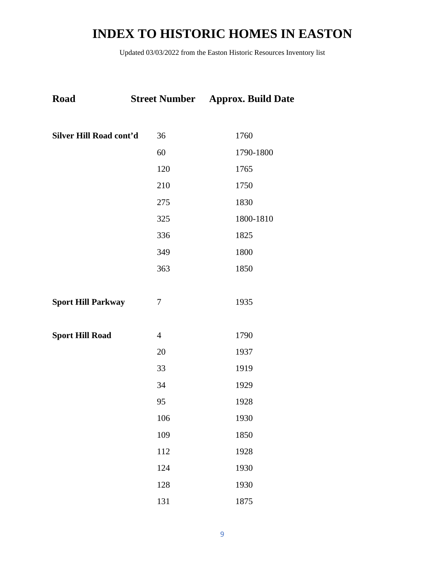| <b>Road</b>               |                | <b>Street Number</b> Approx. Build Date |
|---------------------------|----------------|-----------------------------------------|
| Silver Hill Road cont'd   | 36             | 1760                                    |
|                           | 60             | 1790-1800                               |
|                           | 120            | 1765                                    |
|                           | 210            | 1750                                    |
|                           | 275            | 1830                                    |
|                           | 325            | 1800-1810                               |
|                           | 336            | 1825                                    |
|                           | 349            | 1800                                    |
|                           | 363            | 1850                                    |
|                           |                |                                         |
| <b>Sport Hill Parkway</b> | 7              | 1935                                    |
|                           |                |                                         |
| <b>Sport Hill Road</b>    | $\overline{4}$ | 1790                                    |
|                           | 20             | 1937                                    |
|                           | 33             | 1919                                    |
|                           | 34             | 1929                                    |
|                           | 95             | 1928                                    |
|                           | 106            | 1930                                    |
|                           | 109            | 1850                                    |
|                           | 112            | 1928                                    |
|                           | 124            | 1930                                    |
|                           | 128            | 1930                                    |
|                           | 131            | 1875                                    |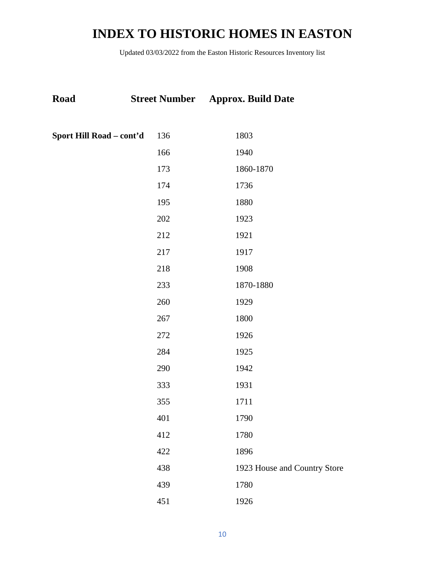| Road                     |     | <b>Street Number</b> Approx. Build Date |  |
|--------------------------|-----|-----------------------------------------|--|
| Sport Hill Road – cont'd | 136 | 1803                                    |  |
|                          | 166 | 1940                                    |  |
|                          | 173 | 1860-1870                               |  |
|                          | 174 | 1736                                    |  |
|                          | 195 | 1880                                    |  |
|                          | 202 | 1923                                    |  |
|                          | 212 | 1921                                    |  |
|                          | 217 | 1917                                    |  |
|                          | 218 | 1908                                    |  |
|                          | 233 | 1870-1880                               |  |
|                          | 260 | 1929                                    |  |
|                          | 267 | 1800                                    |  |
|                          | 272 | 1926                                    |  |
|                          | 284 | 1925                                    |  |
|                          | 290 | 1942                                    |  |
|                          | 333 | 1931                                    |  |
|                          | 355 | 1711                                    |  |
|                          | 401 | 1790                                    |  |
|                          | 412 | 1780                                    |  |
|                          | 422 | 1896                                    |  |
|                          | 438 | 1923 House and Country Store            |  |
|                          | 439 | 1780                                    |  |
|                          | 451 | 1926                                    |  |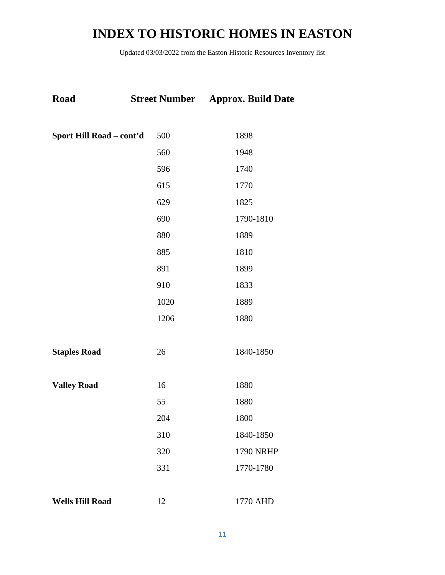| <b>Road</b>              |      | <b>Street Number</b> Approx. Build Date |
|--------------------------|------|-----------------------------------------|
|                          |      |                                         |
| Sport Hill Road - cont'd | 500  | 1898                                    |
|                          | 560  | 1948                                    |
|                          | 596  | 1740                                    |
|                          | 615  | 1770                                    |
|                          | 629  | 1825                                    |
|                          | 690  | 1790-1810                               |
|                          | 880  | 1889                                    |
|                          | 885  | 1810                                    |
|                          | 891  | 1899                                    |
|                          | 910  | 1833                                    |
|                          | 1020 | 1889                                    |
|                          | 1206 | 1880                                    |
|                          |      |                                         |
| <b>Staples Road</b>      | 26   | 1840-1850                               |
|                          |      |                                         |
| <b>Valley Road</b>       | 16   | 1880                                    |
|                          | 55   | 1880                                    |
|                          | 204  | 1800                                    |
|                          | 310  | 1840-1850                               |
|                          | 320  | <b>1790 NRHP</b>                        |
|                          | 331  | 1770-1780                               |
|                          |      |                                         |
| <b>Wells Hill Road</b>   | 12   | 1770 AHD                                |